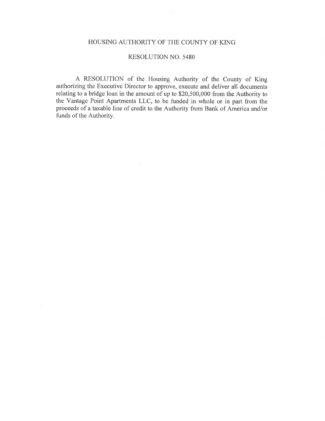#### HOUSING AUTHORITY OF THE COUNTY OF KING

 $\sim$ 

#### **RESOLUTION NO. 5480**

A RESOLUTION of the Housing Authority of the County of King authorizing the Executive Director to approve, execute and deliver all documents relating to a bridge loan in the amount of up to \$20,500,000 from the Authority to the Vantage Point Apartments LLC, to be funded in whole or in part from the proceeds of a taxable line of credit to the Authority from Bank of America and/or funds of the Authority.

J.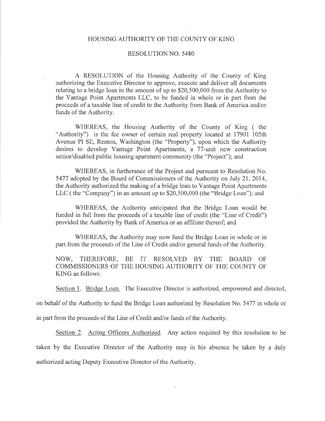#### HOUSING AUTHORITY OF THE COUNTY OF KING

#### **RESOLUTION NO. 5480**

A RESOLUTION of the Housing Authority of the County of King authorizing the Executive Director to approve, execute and deliver all documents relating to a bridge loan in the amount of up to \$20,500,000 from the Authority to the Vantage Point Apartments LLC, to be funded in whole or in part from the proceeds of a taxable line of credit to the Authority from Bank of America and/or funds of the Authority.

WHEREAS, the Housing Authority of the County of King (the "Authority") is the fee owner of certain real property located at 17901 105th Avenue Pl SE, Renton, Washington (the "Property"), upon which the Authority desires to develop Vantage Point Apartments, a 77-unit new construction senior/disabled public housing apartment community (the "Project"); and

WHEREAS, in furtherance of the Project and pursuant to Resolution No. 5477 adopted by the Board of Commissioners of the Authority on July 21, 2014, the Authority authorized the making of a bridge loan to Vantage Point Apartments LLC (the "Company") in an amount up to \$20,500,000 (the "Bridge Loan"); and

WHEREAS, the Authority anticipated that the Bridge Loan would be funded in full from the proceeds of a taxable line of credit (the "Line of Credit") provided the Authority by Bank of America or an affiliate thereof; and

WHEREAS, the Authority may now fund the Bridge Loan in whole or in part from the proceeds of the Line of Credit and/or general funds of the Authority.

NOW, THEREFORE, BE IT RESOLVED BY THE BOARD OF COMMISSIONERS OF THE HOUSING AUTHORITY OF THE COUNTY OF KING as follows:

Section 1. Bridge Loan. The Executive Director is authorized, empowered and directed,

on behalf of the Authority to fund the Bridge Loan authorized by Resolution No. 5477 in whole or

in part from the proceeds of the Line of Credit and/or funds of the Authority.

Section 2. Acting Officers Authorized. Any action required by this resolution to be taken by the Executive Director of the Authority may in his absence be taken by a duly authorized acting Deputy Executive Director of the Authority.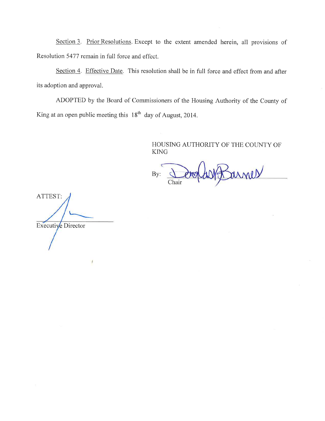Section 3. Prior Resolutions. Except to the extent amended herein, all provisions of Resolution 5477 remain in full force and effect.

Section 4. Effective Date. This resolution shall be in full force and effect from and after its adoption and approval.

ADOPTED by the Board of Commissioners of the Housing Authority of the County of King at an open public meeting this  $18<sup>th</sup>$  day of August, 2014.

> HOUSING AUTHORITY OF THE COUNTY OF **KING**

arnes By: Chair

ATTEST: Executive Director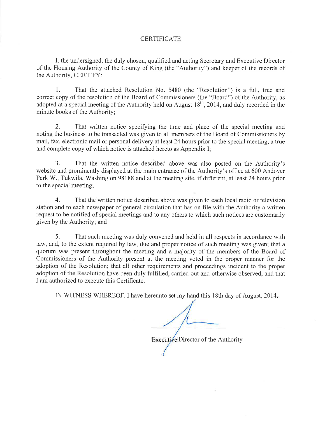#### **CERTIFICATE**

I, the undersigned, the duly chosen, qualified and acting Secretary and Executive Director of the Housing Authority of the County of King (the "Authority") and keeper of the records of the Authority, CERTIFY:

 $1.$ That the attached Resolution No. 5480 (the "Resolution") is a full, true and correct copy of the resolution of the Board of Commissioners (the "Board") of the Authority, as adopted at a special meeting of the Authority held on August  $18^{th}$ , 2014, and duly recorded in the minute books of the Authority;

 $\overline{2}$ . That written notice specifying the time and place of the special meeting and noting the business to be transacted was given to all members of the Board of Commissioners by mail, fax, electronic mail or personal delivery at least 24 hours prior to the special meeting, a true and complete copy of which notice is attached hereto as Appendix I;

 $\mathcal{E}$ That the written notice described above was also posted on the Authority's website and prominently displayed at the main entrance of the Authority's office at 600 Andover Park W., Tukwila, Washington 98188 and at the meeting site, if different, at least 24 hours prior to the special meeting;

That the written notice described above was given to each local radio or television  $4.$ station and to each newspaper of general circulation that has on file with the Authority a written request to be notified of special meetings and to any others to which such notices are customarily given by the Authority; and

5. That such meeting was duly convened and held in all respects in accordance with law, and, to the extent required by law, due and proper notice of such meeting was given; that a quorum was present throughout the meeting and a majority of the members of the Board of Commissioners of the Authority present at the meeting voted in the proper manner for the adoption of the Resolution; that all other requirements and proceedings incident to the proper adoption of the Resolution have been duly fulfilled, carried out and otherwise observed, and that I am authorized to execute this Certificate.

IN WITNESS WHEREOF, I have hereunto set my hand this 18th day of August, 2014.

Executive Director of the Authority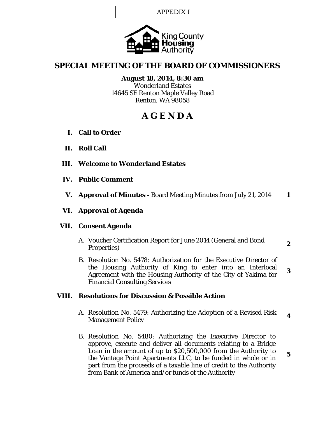APPEDIX I



# **SPECIAL MEETING OF THE BOARD OF COMMISSIONERS**

**August 18, 2014, 8:30 am** Wonderland Estates 14645 SE Renton Maple Valley Road Renton, WA 98058

# **A G E N D A**

- **I. Call to Order**
- **II. Roll Call**
- **III. Welcome to Wonderland Estates**
- **IV. Public Comment**
- **V. Approval of Minutes -** Board Meeting Minutes from July 21, 2014 **1**

# **VI. Approval of Agenda**

## **VII. Consent Agenda**

- A. Voucher Certification Report for June 2014 (General and Bond Properties) **<sup>2</sup>**
- B. Resolution No. 5478: Authorization for the Executive Director of the Housing Authority of King to enter into an Interlocal Agreement with the Housing Authority of the City of Yakima for Financial Consulting Services **3**

## **VIII. Resolutions for Discussion & Possible Action**

- A. Resolution No. 5479: Authorizing the Adoption of a Revised Risk Management Policy **<sup>4</sup>**
- B. Resolution No. 5480: Authorizing the Executive Director to approve, execute and deliver all documents relating to a Bridge Loan in the amount of up to \$20,500,000 from the Authority to the Vantage Point Apartments LLC, to be funded in whole or in part from the proceeds of a taxable line of credit to the Authority from Bank of America and/or funds of the Authority

**5**